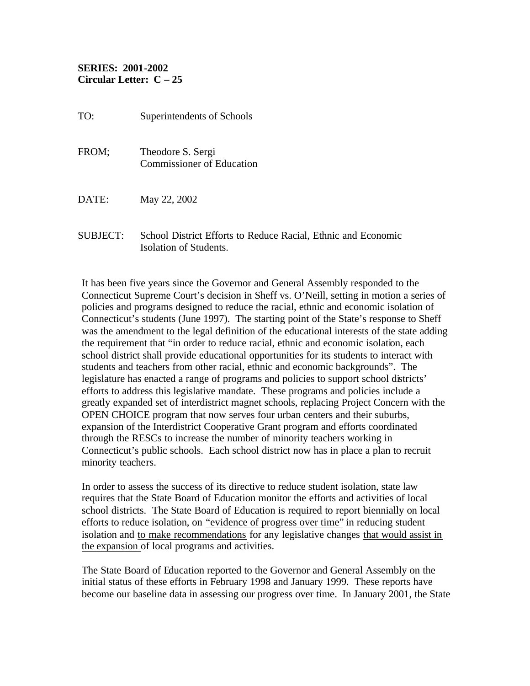## **SERIES: 2001-2002 Circular Letter: C – 25**

| TO:             | Superintendents of Schools                                                              |
|-----------------|-----------------------------------------------------------------------------------------|
| FROM;           | Theodore S. Sergi<br><b>Commissioner of Education</b>                                   |
| DATE:           | May 22, 2002                                                                            |
| <b>SUBJECT:</b> | School District Efforts to Reduce Racial, Ethnic and Economic<br>Isolation of Students. |

It has been five years since the Governor and General Assembly responded to the Connecticut Supreme Court's decision in Sheff vs. O'Neill, setting in motion a series of policies and programs designed to reduce the racial, ethnic and economic isolation of Connecticut's students (June 1997). The starting point of the State's response to Sheff was the amendment to the legal definition of the educational interests of the state adding the requirement that "in order to reduce racial, ethnic and economic isolation, each school district shall provide educational opportunities for its students to interact with students and teachers from other racial, ethnic and economic backgrounds". The legislature has enacted a range of programs and policies to support school districts' efforts to address this legislative mandate. These programs and policies include a greatly expanded set of interdistrict magnet schools, replacing Project Concern with the OPEN CHOICE program that now serves four urban centers and their suburbs, expansion of the Interdistrict Cooperative Grant program and efforts coordinated through the RESCs to increase the number of minority teachers working in Connecticut's public schools. Each school district now has in place a plan to recruit minority teachers.

In order to assess the success of its directive to reduce student isolation, state law requires that the State Board of Education monitor the efforts and activities of local school districts. The State Board of Education is required to report biennially on local efforts to reduce isolation, on "evidence of progress over time" in reducing student isolation and to make recommendations for any legislative changes that would assist in the expansion of local programs and activities.

The State Board of Education reported to the Governor and General Assembly on the initial status of these efforts in February 1998 and January 1999. These reports have become our baseline data in assessing our progress over time. In January 2001, the State